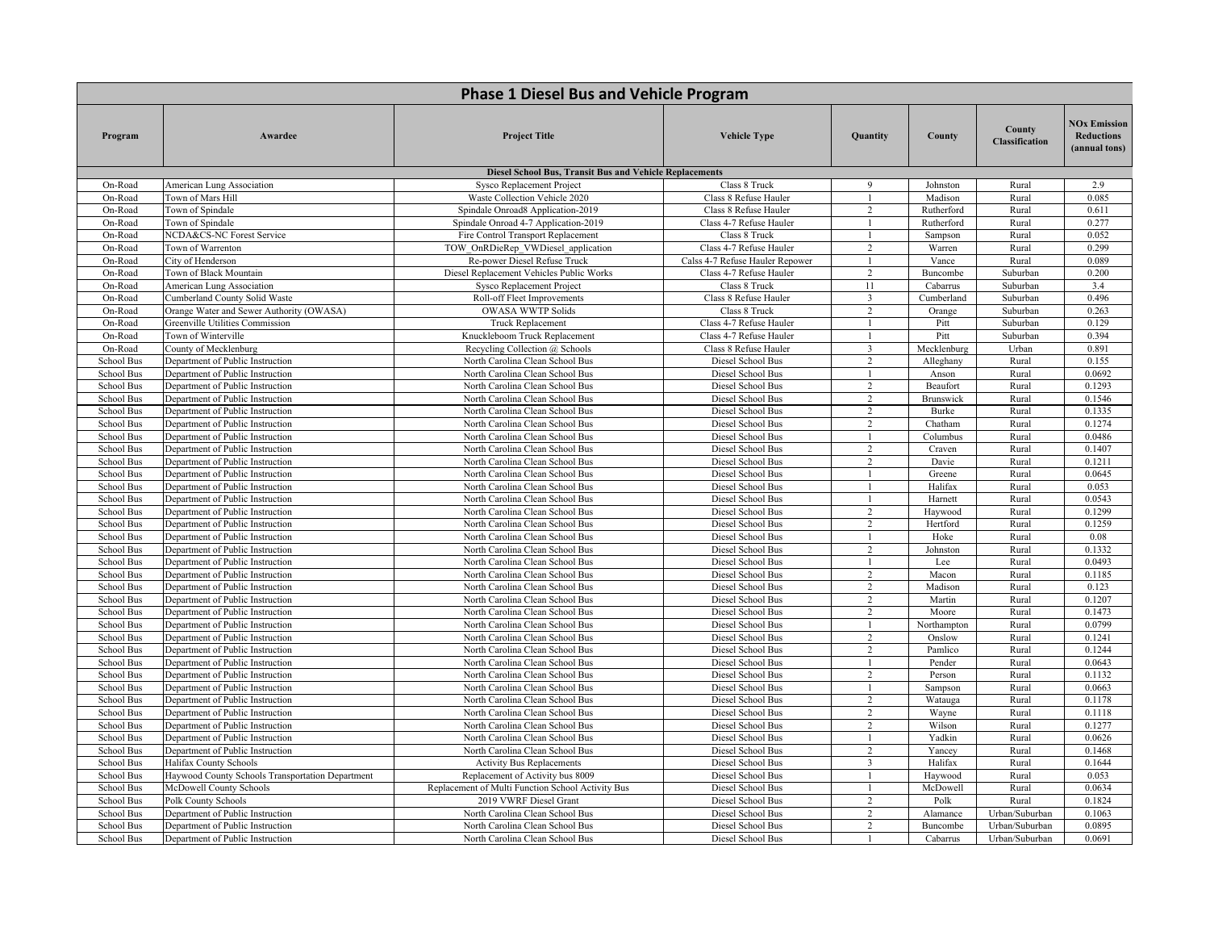| <b>Phase 1 Diesel Bus and Vehicle Program</b>           |                                                  |                                                   |                                 |                         |             |                                 |                                                           |  |  |  |  |  |
|---------------------------------------------------------|--------------------------------------------------|---------------------------------------------------|---------------------------------|-------------------------|-------------|---------------------------------|-----------------------------------------------------------|--|--|--|--|--|
| Program                                                 | Awardee                                          | <b>Project Title</b>                              | <b>Vehicle Type</b>             | Quantity                | County      | County<br><b>Classification</b> | <b>NOx Emission</b><br><b>Reductions</b><br>(annual tons) |  |  |  |  |  |
| Diesel School Bus, Transit Bus and Vehicle Replacements |                                                  |                                                   |                                 |                         |             |                                 |                                                           |  |  |  |  |  |
| On-Road                                                 | <b>American Lung Association</b>                 | Sysco Replacement Project                         | Class 8 Truck                   | $\mathbf Q$             | Johnston    | Rural                           | 2.9                                                       |  |  |  |  |  |
| On-Road                                                 | Town of Mars Hill                                | Waste Collection Vehicle 2020                     | Class 8 Refuse Hauler           |                         | Madison     | Rural                           | 0.085                                                     |  |  |  |  |  |
| On-Road                                                 | Town of Spindale                                 | Spindale Onroad8 Application-2019                 | Class 8 Refuse Hauler           | 2                       | Rutherford  | Rural                           | 0.611                                                     |  |  |  |  |  |
| On-Road                                                 | Town of Spindale                                 | Spindale Onroad 4-7 Application-2019              | Class 4-7 Refuse Hauler         |                         | Rutherford  | Rural                           | 0.277                                                     |  |  |  |  |  |
| On-Road                                                 | NCDA&CS-NC Forest Service                        | Fire Control Transport Replacement                | Class 8 Truck                   | $\mathbf{1}$            | Sampson     | Rural                           | 0.052                                                     |  |  |  |  |  |
| On-Road                                                 | Town of Warrenton                                | TOW OnRDieRep VWDiesel application                | Class 4-7 Refuse Hauler         | $\overline{2}$          | Warren      | Rural                           | 0.299                                                     |  |  |  |  |  |
| On-Road                                                 | City of Henderson                                | Re-power Diesel Refuse Truck                      | Calss 4-7 Refuse Hauler Repower |                         | Vance       | Rural                           | 0.089                                                     |  |  |  |  |  |
| On-Road                                                 | Town of Black Mountain                           | Diesel Replacement Vehicles Public Works          | Class 4-7 Refuse Hauler         | $\overline{c}$          | Buncombe    | Suburban                        | 0.200                                                     |  |  |  |  |  |
| On-Road                                                 | <b>American Lung Association</b>                 | Sysco Replacement Project                         | Class 8 Truck                   | 11                      | Cabarrus    | Suburban                        | 3.4                                                       |  |  |  |  |  |
| On-Road                                                 | Cumberland County Solid Waste                    | Roll-off Fleet Improvements                       | Class 8 Refuse Hauler           | $\overline{\mathbf{3}}$ | Cumberland  | Suburban                        | 0.496                                                     |  |  |  |  |  |
| On-Road                                                 | Orange Water and Sewer Authority (OWASA)         | <b>OWASA WWTP Solids</b>                          | Class 8 Truck                   | $\overline{c}$          | Orange      | Suburban                        | 0.263                                                     |  |  |  |  |  |
| On-Road                                                 | Greenville Utilities Commission                  | <b>Truck Replacement</b>                          | Class 4-7 Refuse Hauler         |                         | Pitt        | Suburban                        | 0.129                                                     |  |  |  |  |  |
| On-Road                                                 | Town of Winterville                              | Knuckleboom Truck Replacement                     | Class 4-7 Refuse Hauler         |                         | Pitt        | Suburban                        | 0.394                                                     |  |  |  |  |  |
| On-Road                                                 | County of Mecklenburg                            | Recycling Collection @ Schools                    | Class 8 Refuse Hauler           | $\overline{\mathbf{3}}$ | Mecklenburg | Urban                           | 0.891                                                     |  |  |  |  |  |
| School Bus                                              | Department of Public Instruction                 | North Carolina Clean School Bus                   | Diesel School Bus               | $\overline{2}$          | Alleghany   | Rural                           | 0.155                                                     |  |  |  |  |  |
| School Bus                                              | Department of Public Instruction                 | North Carolina Clean School Bus                   | Diesel School Bus               | $\mathbf{1}$            | Anson       | Rural                           | 0.0692                                                    |  |  |  |  |  |
| School Bus                                              | Department of Public Instruction                 | North Carolina Clean School Bus                   | Diesel School Bus               | $\overline{2}$          | Beaufort    | Rural                           | 0.1293                                                    |  |  |  |  |  |
| School Bus                                              | Department of Public Instruction                 | North Carolina Clean School Bus                   | Diesel School Bus               | $\overline{2}$          | Brunswick   | Rural                           | 0.1546                                                    |  |  |  |  |  |
| School Bus                                              | Department of Public Instruction                 | North Carolina Clean School Bus                   | Diesel School Bus               | $\overline{c}$          | Burke       | Rural                           | 0.1335                                                    |  |  |  |  |  |
| School Bus                                              | Department of Public Instruction                 | North Carolina Clean School Bus                   | Diesel School Bus               | 2                       | Chatham     | Rural                           | 0.1274                                                    |  |  |  |  |  |
| School Bus                                              | Department of Public Instruction                 | North Carolina Clean School Bus                   | Diesel School Bus               |                         | Columbus    | Rural                           | 0.0486                                                    |  |  |  |  |  |
| School Bus                                              | Department of Public Instruction                 | North Carolina Clean School Bus                   | Diesel School Bus               | $\overline{2}$          | Craven      | Rural                           | 0.1407                                                    |  |  |  |  |  |
| School Bus                                              | Department of Public Instruction                 | North Carolina Clean School Bus                   | Diesel School Bus               | $\overline{c}$          | Davie       | Rural                           | 0.1211                                                    |  |  |  |  |  |
| School Bus                                              | Department of Public Instruction                 | North Carolina Clean School Bus                   | Diesel School Bus               |                         | Greene      | Rural                           | 0.0645                                                    |  |  |  |  |  |
| School Bus                                              | Department of Public Instruction                 | North Carolina Clean School Bus                   | Diesel School Bus               |                         | Halifax     | Rural                           | 0.053                                                     |  |  |  |  |  |
| School Bus                                              | Department of Public Instruction                 | North Carolina Clean School Bus                   | Diesel School Bus               |                         | Harnett     | Rural                           | 0.0543                                                    |  |  |  |  |  |
| School Bus                                              | Department of Public Instruction                 | North Carolina Clean School Bus                   | Diesel School Bus               | $\overline{2}$          | Haywood     | Rural                           | 0.1299                                                    |  |  |  |  |  |
| School Bus                                              | Department of Public Instruction                 | North Carolina Clean School Bus                   | Diesel School Bus               | $\overline{2}$          | Hertford    | Rural                           | 0.1259                                                    |  |  |  |  |  |
| School Bus                                              | Department of Public Instruction                 | North Carolina Clean School Bus                   | Diesel School Bus               | $\mathbf{1}$            | Hoke        | Rural                           | 0.08                                                      |  |  |  |  |  |
| School Bus                                              | Department of Public Instruction                 | North Carolina Clean School Bus                   | Diesel School Bus               | $\overline{2}$          | Johnston    | Rural                           | 0.1332                                                    |  |  |  |  |  |
| School Bus                                              | Department of Public Instruction                 | North Carolina Clean School Bus                   | Diesel School Bus               | $\mathbf{1}$            | Lee         | Rural                           | 0.0493                                                    |  |  |  |  |  |
| School Bus                                              | Department of Public Instruction                 | North Carolina Clean School Bus                   | Diesel School Bus               | $\sqrt{2}$              | Macon       | Rural                           | 0.1185                                                    |  |  |  |  |  |
| School Bus                                              | Department of Public Instruction                 | North Carolina Clean School Bus                   | Diesel School Bus               | $\overline{c}$          | Madison     | Rural                           | 0.123                                                     |  |  |  |  |  |
| School Bus                                              | Department of Public Instruction                 | North Carolina Clean School Bus                   | Diesel School Bus               | $\overline{2}$          | Martin      | Rural                           | 0.1207                                                    |  |  |  |  |  |
| School Bus                                              | Department of Public Instruction                 | North Carolina Clean School Bus                   | Diesel School Bus               | 2                       | Moore       | Rural                           | 0.1473                                                    |  |  |  |  |  |
| School Bus                                              | Department of Public Instruction                 | North Carolina Clean School Bus                   | Diesel School Bus               |                         | Northampton | Rural                           | 0.0799                                                    |  |  |  |  |  |
| School Bus                                              | Department of Public Instruction                 | North Carolina Clean School Bus                   | Diesel School Bus               | $\overline{2}$          | Onslow      | Rural                           | 0.1241                                                    |  |  |  |  |  |
| School Bus                                              | Department of Public Instruction                 | North Carolina Clean School Bus                   | Diesel School Bus               | $\overline{2}$          | Pamlico     | Rural                           | 0.1244                                                    |  |  |  |  |  |
| School Bus                                              | Department of Public Instruction                 | North Carolina Clean School Bus                   | Diesel School Bus               | $\mathbf{1}$            | Pender      | Rural                           | 0.0643                                                    |  |  |  |  |  |
| School Bus                                              | Department of Public Instruction                 | North Carolina Clean School Bus                   | Diesel School Bus               | 2                       | Person      | Rural                           | 0.1132                                                    |  |  |  |  |  |
| School Bus                                              | Department of Public Instruction                 | North Carolina Clean School Bus                   | Diesel School Bus               | $\mathbf{1}$            | Sampson     | Rural                           | 0.0663                                                    |  |  |  |  |  |
| School Bus                                              | Department of Public Instruction                 | North Carolina Clean School Bus                   | Diesel School Bus               | $\overline{c}$          | Watauga     | Rural                           | 0.1178                                                    |  |  |  |  |  |
| School Bus                                              | Department of Public Instruction                 | North Carolina Clean School Bus                   | Diesel School Bus               | $\overline{2}$          | Wayne       | Rural                           | 0.1118                                                    |  |  |  |  |  |
| School Bus                                              | Department of Public Instruction                 | North Carolina Clean School Bus                   | Diesel School Bus               | 2                       | Wilson      | Rural                           | 0.1277                                                    |  |  |  |  |  |
| School Bus                                              | Department of Public Instruction                 | North Carolina Clean School Bus                   | Diesel School Bus               |                         | Yadkin      | Rural                           | 0.0626                                                    |  |  |  |  |  |
| School Bus                                              | Department of Public Instruction                 | North Carolina Clean School Bus                   | Diesel School Bus               | $\overline{2}$          | Yancey      | Rural                           | 0.1468                                                    |  |  |  |  |  |
| School Bus                                              | Halifax County Schools                           | <b>Activity Bus Replacements</b>                  | Diesel School Bus               | $\overline{\mathbf{3}}$ | Halifax     | Rural                           | 0.1644                                                    |  |  |  |  |  |
| School Bus                                              | Haywood County Schools Transportation Department | Replacement of Activity bus 8009                  | Diesel School Bus               |                         | Haywood     | Rural                           | 0.053                                                     |  |  |  |  |  |
| School Bus                                              | McDowell County Schools                          | Replacement of Multi Function School Activity Bus | Diesel School Bus               |                         | McDowell    | Rural                           | 0.0634                                                    |  |  |  |  |  |
| School Bus                                              | Polk County Schools                              | 2019 VWRF Diesel Grant                            | Diesel School Bus               | 2                       | Polk        | Rural                           | 0.1824                                                    |  |  |  |  |  |
| School Bus                                              | Department of Public Instruction                 | North Carolina Clean School Bus                   | Diesel School Bus               | 2                       | Alamance    | Urban/Suburban                  | 0.1063                                                    |  |  |  |  |  |
| School Bus                                              | Department of Public Instruction                 | North Carolina Clean School Bus                   | Diesel School Bus               | 2                       | Buncombe    | Urban/Suburban                  | 0.0895                                                    |  |  |  |  |  |
| School Bus                                              | Department of Public Instruction                 | North Carolina Clean School Bus                   | Diesel School Bus               |                         | Cabarrus    | Urban/Suburban                  | 0.0691                                                    |  |  |  |  |  |